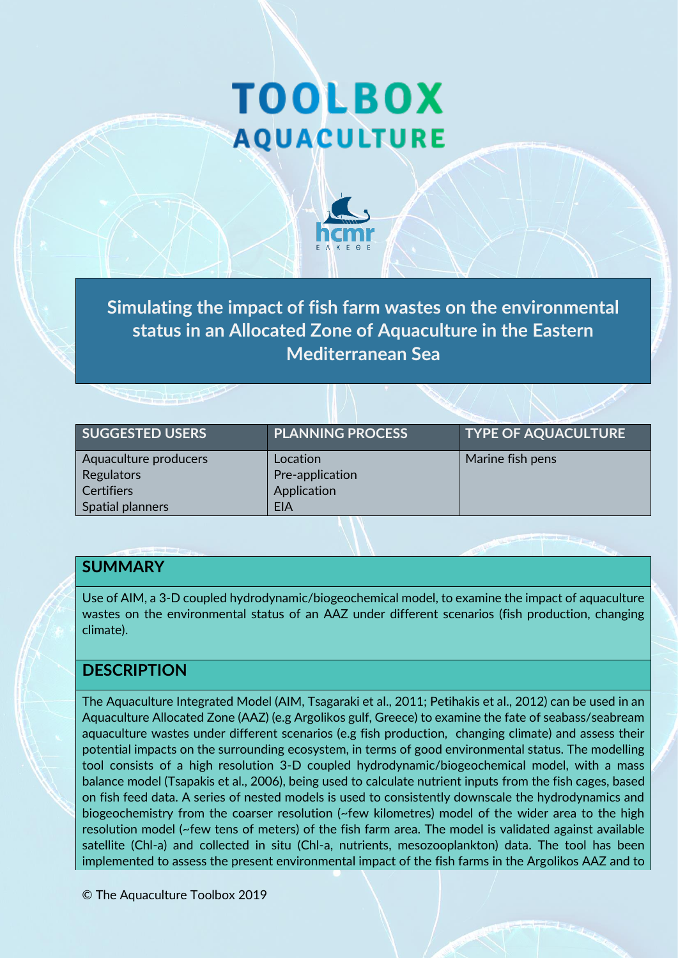# **TOOLBOX AQUACULTURE**



**Simulating the impact of fish farm wastes on the environmental status in an Allocated Zone of Aquaculture in the Eastern Mediterranean Sea**

| <b>SUGGESTED USERS</b> | <b>PLANNING PROCESS</b> | <b>TYPE OF AQUACULTURE</b> |
|------------------------|-------------------------|----------------------------|
| Aquaculture producers  | Location                | Marine fish pens           |
| Regulators             | Pre-application         |                            |
| Certifiers             | Application             |                            |
| Spatial planners       | <b>EIA</b>              |                            |

### **SUMMARY**

Use of AIM, a 3-D coupled hydrodynamic/biogeochemical model, to examine the impact of aquaculture wastes on the environmental status of an AAZ under different scenarios (fish production, changing climate).

### **DESCRIPTION**

The Aquaculture Integrated Model (AIM, Tsagaraki et al., 2011; Petihakis et al., 2012) can be used in an Aquaculture Allocated Zone (AAZ) (e.g Argolikos gulf, Greece) to examine the fate of seabass/seabream aquaculture wastes under different scenarios (e.g fish production, changing climate) and assess their potential impacts on the surrounding ecosystem, in terms of good environmental status. The modelling tool consists of a high resolution 3-D coupled hydrodynamic/biogeochemical model, with a mass balance model (Tsapakis et al., 2006), being used to calculate nutrient inputs from the fish cages, based on fish feed data. A series of nested models is used to consistently downscale the hydrodynamics and biogeochemistry from the coarser resolution (~few kilometres) model of the wider area to the high resolution model (~few tens of meters) of the fish farm area. The model is validated against available satellite (Chl-a) and collected in situ (Chl-a, nutrients, mesozooplankton) data. The tool has been implemented to assess the present environmental impact of the fish farms in the Argolikos AAZ and to

© The Aquaculture Toolbox 2019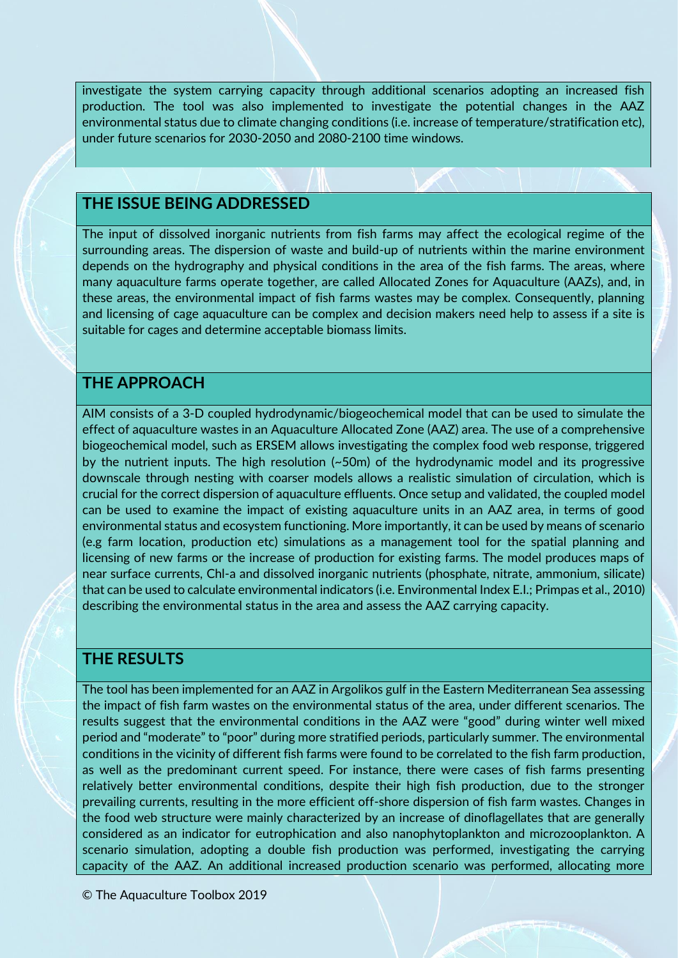investigate the system carrying capacity through additional scenarios adopting an increased fish production. The tool was also implemented to investigate the potential changes in the AAZ environmental status due to climate changing conditions (i.e. increase of temperature/stratification etc), under future scenarios for 2030-2050 and 2080-2100 time windows.

## **THE ISSUE BEING ADDRESSED**

The input of dissolved inorganic nutrients from fish farms may affect the ecological regime of the surrounding areas. The dispersion of waste and build-up of nutrients within the marine environment depends on the hydrography and physical conditions in the area of the fish farms. The areas, where many aquaculture farms operate together, are called Allocated Zones for Aquaculture (AAZs), and, in these areas, the environmental impact of fish farms wastes may be complex. Consequently, planning and licensing of cage aquaculture can be complex and decision makers need help to assess if a site is suitable for cages and determine acceptable biomass limits.

### **THE APPROACH**

AIM consists of a 3-D coupled hydrodynamic/biogeochemical model that can be used to simulate the effect of aquaculture wastes in an Aquaculture Allocated Zone (AAZ) area. The use of a comprehensive biogeochemical model, such as ERSEM allows investigating the complex food web response, triggered by the nutrient inputs. The high resolution  $(\sim 50<sub>m</sub>)$  of the hydrodynamic model and its progressive downscale through nesting with coarser models allows a realistic simulation of circulation, which is crucial for the correct dispersion of aquaculture effluents. Once setup and validated, the coupled model can be used to examine the impact of existing aquaculture units in an AAZ area, in terms of good environmental status and ecosystem functioning. More importantly, it can be used by means of scenario (e.g farm location, production etc) simulations as a management tool for the spatial planning and licensing of new farms or the increase of production for existing farms. The model produces maps of near surface currents, Chl-a and dissolved inorganic nutrients (phosphate, nitrate, ammonium, silicate) that can be used to calculate environmental indicators (i.e. Environmental Index E.I.; Primpas et al., 2010) describing the environmental status in the area and assess the AAZ carrying capacity.

### **THE RESULTS**

The tool has been implemented for an AAZ in Argolikos gulf in the Eastern Mediterranean Sea assessing the impact of fish farm wastes on the environmental status of the area, under different scenarios. The results suggest that the environmental conditions in the AAZ were "good" during winter well mixed period and "moderate" to "poor" during more stratified periods, particularly summer. The environmental conditions in the vicinity of different fish farms were found to be correlated to the fish farm production, as well as the predominant current speed. For instance, there were cases of fish farms presenting relatively better environmental conditions, despite their high fish production, due to the stronger prevailing currents, resulting in the more efficient off-shore dispersion of fish farm wastes. Changes in the food web structure were mainly characterized by an increase of dinoflagellates that are generally considered as an indicator for eutrophication and also nanophytoplankton and microzooplankton. A scenario simulation, adopting a double fish production was performed, investigating the carrying capacity of the AAZ. An additional increased production scenario was performed, allocating more

© The Aquaculture Toolbox 2019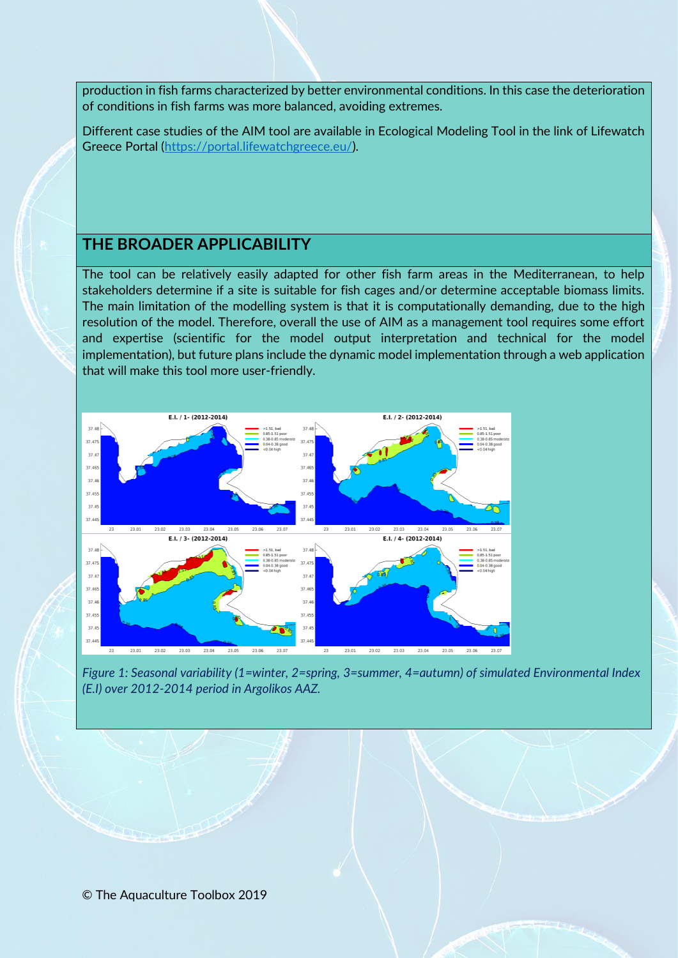production in fish farms characterized by better environmental conditions. In this case the deterioration of conditions in fish farms was more balanced, avoiding extremes.

Different case studies of the AIM tool are available in Ecological Modeling Tool in the link of Lifewatch Greece Portal [\(https://portal.lifewatchgreece.eu/\)](https://portal.lifewatchgreece.eu/).

#### **THE BROADER APPLICABILITY**

The tool can be relatively easily adapted for other fish farm areas in the Mediterranean, to help stakeholders determine if a site is suitable for fish cages and/or determine acceptable biomass limits. The main limitation of the modelling system is that it is computationally demanding, due to the high resolution of the model. Therefore, overall the use of AIM as a management tool requires some effort and expertise (scientific for the model output interpretation and technical for the model implementation), but future plans include the dynamic model implementation through a web application that will make this tool more user-friendly.



*Figure 1: Seasonal variability (1=winter, 2=spring, 3=summer, 4=autumn) of simulated Environmental Index (E.I) over 2012-2014 period in Argolikos AAZ.*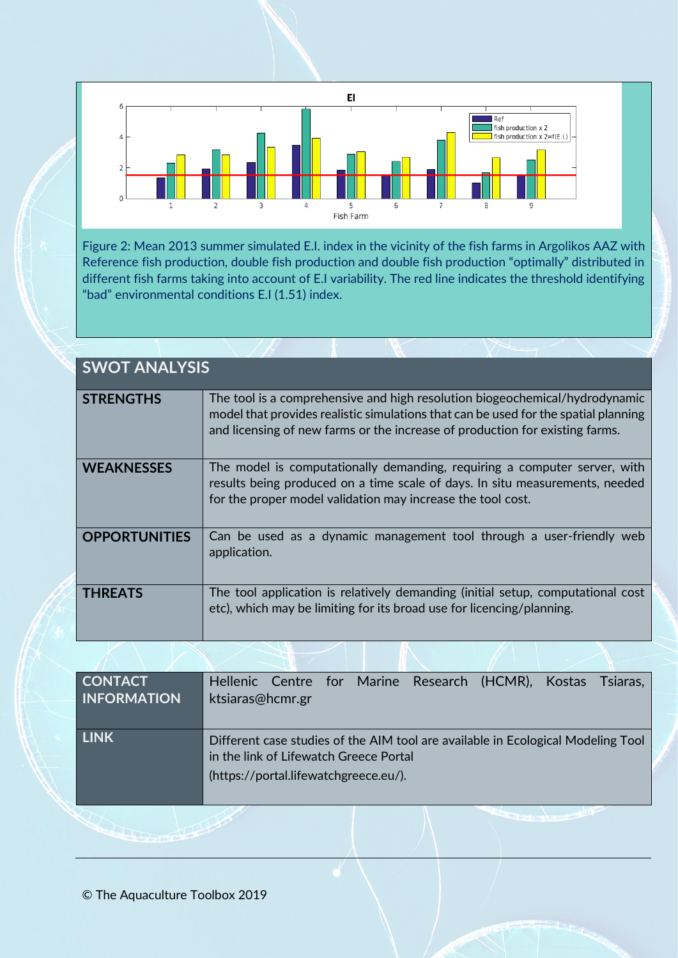

Figure 2: Mean 2013 summer simulated E.I. index in the vicinity of the fish farms in Argolikos AAZ with Reference fish production, double fish production and double fish production "optimally" distributed in different fish farms taking into account of E.I variability. The red line indicates the threshold identifying "bad" environmental conditions E.I (1.51) index.

| <b>STRENGTHS</b>     | The tool is a comprehensive and high resolution biogeochemical/hydrodynamic<br>model that provides realistic simulations that can be used for the spatial planning<br>and licensing of new farms or the increase of production for existing farms. |  |  |  |  |
|----------------------|----------------------------------------------------------------------------------------------------------------------------------------------------------------------------------------------------------------------------------------------------|--|--|--|--|
| <b>WEAKNESSES</b>    | The model is computationally demanding, requiring a computer server, with<br>results being produced on a time scale of days. In situ measurements, needed<br>for the proper model validation may increase the tool cost.                           |  |  |  |  |
| <b>OPPORTUNITIES</b> | Can be used as a dynamic management tool through a user-friendly web<br>application.                                                                                                                                                               |  |  |  |  |
| <b>THREATS</b>       | The tool application is relatively demanding (initial setup, computational cost<br>etc), which may be limiting for its broad use for licencing/planning.                                                                                           |  |  |  |  |

| <b>CONTACT</b>     |                                                                                  |  |  |  | Hellenic Centre for Marine Research (HCMR), Kostas Tsiaras, |  |  |  |  |
|--------------------|----------------------------------------------------------------------------------|--|--|--|-------------------------------------------------------------|--|--|--|--|
| <b>INFORMATION</b> | ktsiaras@hcmr.gr                                                                 |  |  |  |                                                             |  |  |  |  |
|                    |                                                                                  |  |  |  |                                                             |  |  |  |  |
|                    |                                                                                  |  |  |  |                                                             |  |  |  |  |
| <b>LINK</b>        | Different case studies of the AIM tool are available in Ecological Modeling Tool |  |  |  |                                                             |  |  |  |  |
|                    | in the link of Lifewatch Greece Portal                                           |  |  |  |                                                             |  |  |  |  |
|                    |                                                                                  |  |  |  |                                                             |  |  |  |  |
|                    | (https://portal.lifewatchgreece.eu/).                                            |  |  |  |                                                             |  |  |  |  |
|                    |                                                                                  |  |  |  |                                                             |  |  |  |  |
|                    |                                                                                  |  |  |  |                                                             |  |  |  |  |
|                    |                                                                                  |  |  |  |                                                             |  |  |  |  |

**SWOT ANALYSIS**